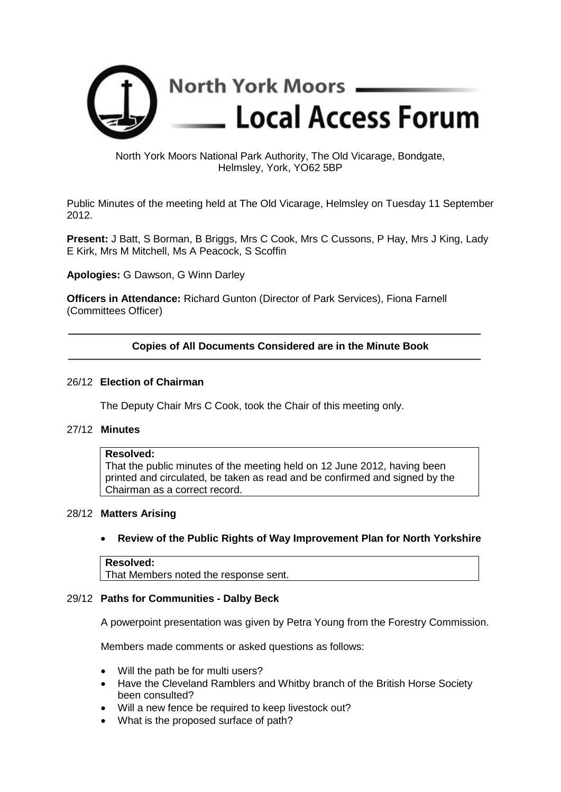

### North York Moors National Park Authority, The Old Vicarage, Bondgate, Helmsley, York, YO62 5BP

Public Minutes of the meeting held at The Old Vicarage, Helmsley on Tuesday 11 September 2012.

**Present:** J Batt, S Borman, B Briggs, Mrs C Cook, Mrs C Cussons, P Hay, Mrs J King, Lady E Kirk, Mrs M Mitchell, Ms A Peacock, S Scoffin

**Apologies:** G Dawson, G Winn Darley

**Officers in Attendance:** Richard Gunton (Director of Park Services), Fiona Farnell (Committees Officer)

### **Copies of All Documents Considered are in the Minute Book**

#### 26/12 **Election of Chairman**

The Deputy Chair Mrs C Cook, took the Chair of this meeting only.

### 27/12 **Minutes**

### **Resolved:**

That the public minutes of the meeting held on 12 June 2012, having been printed and circulated, be taken as read and be confirmed and signed by the Chairman as a correct record.

#### 28/12 **Matters Arising**

### • **Review of the Public Rights of Way Improvement Plan for North Yorkshire**

### **Resolved:** That Members noted the response sent.

#### 29/12 **Paths for Communities - Dalby Beck**

A powerpoint presentation was given by Petra Young from the Forestry Commission.

Members made comments or asked questions as follows:

- Will the path be for multi users?
- Have the Cleveland Ramblers and Whitby branch of the British Horse Society been consulted?
- Will a new fence be required to keep livestock out?
- What is the proposed surface of path?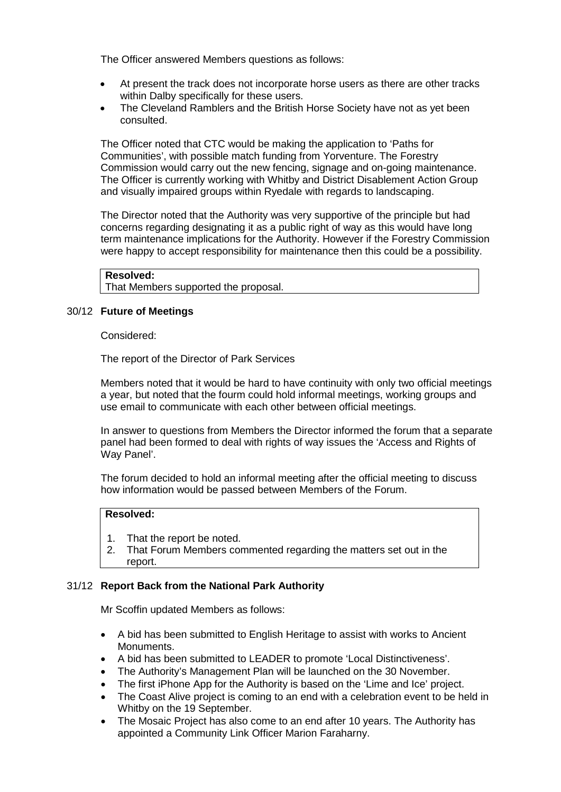The Officer answered Members questions as follows:

- At present the track does not incorporate horse users as there are other tracks within Dalby specifically for these users.
- The Cleveland Ramblers and the British Horse Society have not as yet been consulted.

The Officer noted that CTC would be making the application to 'Paths for Communities', with possible match funding from Yorventure. The Forestry Commission would carry out the new fencing, signage and on-going maintenance. The Officer is currently working with Whitby and District Disablement Action Group and visually impaired groups within Ryedale with regards to landscaping.

The Director noted that the Authority was very supportive of the principle but had concerns regarding designating it as a public right of way as this would have long term maintenance implications for the Authority. However if the Forestry Commission were happy to accept responsibility for maintenance then this could be a possibility.

```
Resolved:
```
That Members supported the proposal.

### 30/12 **Future of Meetings**

Considered:

The report of the Director of Park Services

Members noted that it would be hard to have continuity with only two official meetings a year, but noted that the fourm could hold informal meetings, working groups and use email to communicate with each other between official meetings.

In answer to questions from Members the Director informed the forum that a separate panel had been formed to deal with rights of way issues the 'Access and Rights of Way Panel'.

The forum decided to hold an informal meeting after the official meeting to discuss how information would be passed between Members of the Forum.

# **Resolved:**

- 1. That the report be noted.
- 2. That Forum Members commented regarding the matters set out in the report.

### 31/12 **Report Back from the National Park Authority**

Mr Scoffin updated Members as follows:

- A bid has been submitted to English Heritage to assist with works to Ancient Monuments.
- A bid has been submitted to LEADER to promote 'Local Distinctiveness'.
- The Authority's Management Plan will be launched on the 30 November.
- The first iPhone App for the Authority is based on the 'Lime and Ice' project.
- The Coast Alive project is coming to an end with a celebration event to be held in Whitby on the 19 September.
- The Mosaic Project has also come to an end after 10 years. The Authority has appointed a Community Link Officer Marion Faraharny.